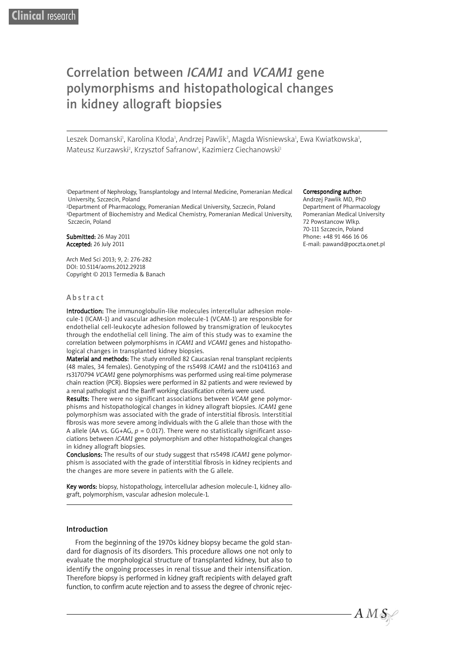# Correlation between *ICAM1* and *VCAM1* gene polymorphisms and histopathological changes in kidney allograft biopsies

Leszek Domanski<sup>ı</sup>, Karolina Kłoda<sup>ı</sup>, Andrzej Pawlik<sup>2</sup>, Magda Wisniewska<sup>ı</sup>, Ewa Kwiatkowska<sup>ı</sup>, Mateusz Kurzawski<sup>2</sup>, Krzysztof Safranow<sup>3</sup>, Kazimierz Ciechanowski<sup>3</sup>

1Department of Nephrology, Transplantology and Internal Medicine, Pomeranian Medical University, Szczecin, Poland

2Department of Pharmacology, Pomeranian Medical University, Szczecin, Poland 3Department of Biochemistry and Medical Chemistry, Pomeranian Medical University, Szczecin, Poland

#### Submitted: 26 May 2011 Accepted: 26 July 2011

Arch Med Sci 2013; 9, 2: 276-282 DOI: 10.5114/aoms.2012.29218 Copyright © 2013 Termedia & Banach

#### **Abstract**

Introduction: The immunoglobulin-like molecules intercellular adhesion molecule-1 (ICAM-1) and vascular adhesion molecule-1 (VCAM-1) are responsible for endothelial cell-leukocyte adhesion followed by transmigration of leukocytes through the endothelial cell lining. The aim of this study was to examine the correlation between polymorphisms in *ICAM1* and *VCAM1* genes and histopathological changes in transplanted kidney biopsies.

Material and methods: The study enrolled 82 Caucasian renal transplant recipients (48 males, 34 females). Genotyping of the rs5498 *ICAM1* and the rs1041163 and rs3170794 *VCAM1* gene polymorphisms was performed using real-time polymerase chain reaction (PCR). Biopsies were performed in 82 patients and were reviewed by a renal pathologist and the Banff working classification criteria were used.

Results: There were no significant associations between *VCAM* gene polymorphisms and histopathological changes in kidney allograft biopsies. *ICAM1* gene polymorphism was associated with the grade of interstitial fibrosis. Interstitial fibrosis was more severe among individuals with the G allele than those with the A allele (AA vs. GG+AG,  $p = 0.017$ ). There were no statistically significant associations between *ICAM1* gene polymorphism and other histopathological changes in kidney allograft biopsies.

Conclusions: The results of our study suggest that rs5498 *ICAM1* gene polymorphism is associated with the grade of interstitial fibrosis in kidney recipients and the changes are more severe in patients with the G allele.

Key words: biopsy, histopathology, intercellular adhesion molecule-1, kidney allograft, polymorphism, vascular adhesion molecule-1.

### Introduction

From the beginning of the 1970s kidney biopsy became the gold standard for diagnosis of its disorders. This procedure allows one not only to evaluate the morphological structure of transplanted kidney, but also to identify the ongoing processes in renal tissue and their intensification. Therefore biopsy is performed in kidney graft recipients with delayed graft function, to confirm acute rejection and to assess the degree of chronic rejec-

#### Corresponding author:

Andrzej Pawlik MD, PhD Department of Pharmacology Pomeranian Medical University 72 Powstancow Wlkp. 70-111 Szczecin, Poland Phone: +48 91 466 16 06 E-mail: pawand@poczta.onet.pl

 $AMS$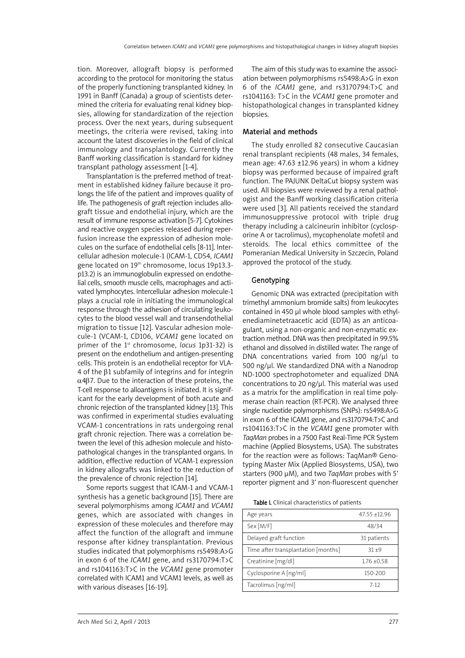tion. Moreover, allograft biopsy is performed according to the protocol for monitoring the status of the properly functioning transplanted kidney. In 1991 in Banff (Canada) a group of scientists determined the criteria for evaluating renal kidney biopsies, allowing for standardization of the rejection process. Over the next years, during subsequent meetings, the criteria were revised, taking into account the latest discoveries in the field of clinical immunology and transplantology. Currently the Banff working classification is standard for kidney transplant pathology assessment [1-4].

Transplantation is the preferred method of treatment in established kidney failure because it prolongs the life of the patient and improves quality of life. The pathogenesis of graft rejection includes allograft tissue and endothelial injury, which are the result of immune response activation [5-7]. Cytokines and reactive oxygen species released during reperfusion increase the expression of adhesion molecules on the surface of endothelial cells [8-11]. Intercellular adhesion molecule-1 (ICAM-1, CD54, *ICAM1* gene located on 19<sup>th</sup> chromosome, locus 19p13.3p13.2) is an immunoglobulin expressed on endothelial cells, smooth muscle cells, macrophages and activated lymphocytes. Intercellular adhesion molecule-1 plays a crucial role in initiating the immunological response through the adhesion of circulating leukocytes to the blood vessel wall and transendothelial migration to tissue [12]. Vascular adhesion molecule-1 (VCAM-1, CD106, *VCAM1* gene located on primer of the 1<sup>st</sup> chromosome, *locus* 1p31-32) is present on the endothelium and antigen-presenting cells. This protein is an endothelial receptor for VLA-4 of the β1 subfamily of integrins and for integrin α4β7. Due to the interaction of these proteins, the T-cell response to alloantigens is initiated. It is significant for the early development of both acute and chronic rejection of the transplanted kidney [13]. This was confirmed in experimental studies evaluating VCAM-1 concentrations in rats undergoing renal graft chronic rejection. There was a correlation between the level of this adhesion molecule and histopathological changes in the transplanted organs. In addition, effective reduction of VCAM-1 expression in kidney allografts was linked to the reduction of the prevalence of chronic rejection [14].

Some reports suggest that ICAM-1 and VCAM-1 synthesis has a genetic background [15]. There are several polymorphisms among *ICAM1* and *VCAM1* genes, which are associated with changes in expression of these molecules and therefore may affect the function of the allograft and immune response after kidney transplantation. Previous studies indicated that polymorphisms rs5498:A>G in exon 6 of the *ICAM1* gene, and rs3170794:T>C and rs1041163:T>C in the *VCAM1* gene promoter correlated with ICAM1 and VCAM1 levels, as well as with various diseases [16-19].

The aim of this study was to examine the association between polymorphisms rs5498:A>G in exon 6 of the *ICAM1* gene, and rs3170794:T>C and rs1041163: T>C in the *VCAM1* gene promoter and histopathological changes in transplanted kidney biopsies.

## Material and methods

The study enrolled 82 consecutive Caucasian renal transplant recipients (48 males, 34 females, mean age: 47.63 ±12.96 years) in whom a kidney biopsy was performed because of impaired graft function. The PAJUNK DeltaCut biopsy system was used. All biopsies were reviewed by a renal pathologist and the Banff working classification criteria were used [3]. All patients received the standard immunosuppressive protocol with triple drug therapy including a calcineurin inhibitor (cyclosporine A or tacrolimus), mycophenolate mofetil and steroids. The local ethics committee of the Pomeranian Medical University in Szczecin, Poland approved the protocol of the study.

## Genotyping

Genomic DNA was extracted (precipitation with trimethyl ammonium bromide salts) from leukocytes contained in 450 µl whole blood samples with ethylenediaminetetraacetic acid (EDTA) as an anticoagulant, using a non-organic and non-enzymatic extraction method. DNA was then precipitated in 99.5% ethanol and dissolved in distilled water. The range of DNA concentrations varied from 100 ng/µl to 500 ng/µl. We standardized DNA with a Nanodrop ND-1000 spectrophotometer and equalized DNA concentrations to 20 ng/µl. This material was used as a matrix for the amplification in real time polymerase chain reaction (RT-PCR). We analysed three single nucleotide polymorphisms (SNPs): rs5498:A>G in exon 6 of the ICAM1 gene, and rs3170794:T>C and rs1041163:T>C in the *VCAM1* gene promoter with *TaqMan* probes in a 7500 Fast Real-Time PCR System machine (Applied Biosystems, USA). The substrates for the reaction were as follows: TaqMan® Genotyping Master Mix (Applied Biosystems, USA), two starters (900 µM), and two *TaqMan* probes with 5' reporter pigment and 3' non-fluorescent quencher

Table I. Clinical characteristics of patients

| Age years                           | $47.55 + 12.96$ |
|-------------------------------------|-----------------|
| Sex [M/F]                           | 48/34           |
| Delayed graft function              | 31 patients     |
| Time after transplantation [months] | $31 + 9$        |
| Creatinine [mg/dl]                  | $1.76 + 0.58$   |
| Cyclosporine A [ng/ml]              | 150-200         |
| Tacrolimus [ng/ml]                  | $7-12$          |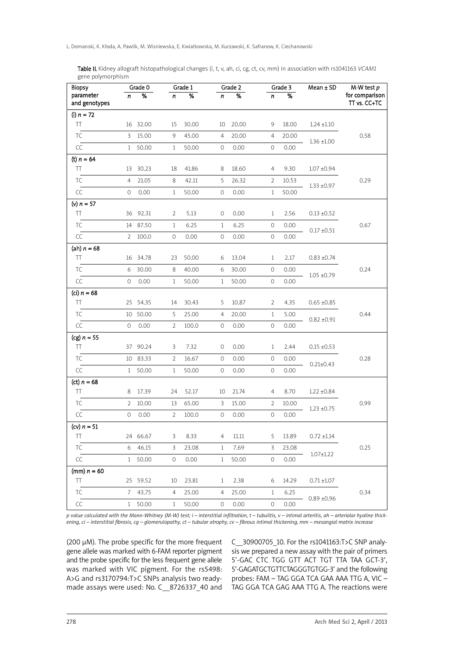Table II. Kidney allograft histopathological changes (i, t, v, ah, ci, cg, ct, cv, mm) in association with rs1041163 *VCAM1* gene polymorphism

| <b>Biopsy</b>              | Grade 0        |                 | Grade 1        |                 |              | Grade 2         |                     | Grade 3         | $Mean \pm SD$   | M-W test $p$                   |
|----------------------------|----------------|-----------------|----------------|-----------------|--------------|-----------------|---------------------|-----------------|-----------------|--------------------------------|
| parameter<br>and genotypes | n              | $\overline{\%}$ | n              | $\overline{\%}$ | n            | $\overline{\%}$ | n                   | $\overline{\%}$ |                 | for comparison<br>TT vs. CC+TC |
| (i) $n = 72$               |                |                 |                |                 |              |                 |                     |                 |                 |                                |
| TT                         |                | 16 32.00        | 15             | 30.00           |              | 10 20.00        | 9                   | 18.00           | $1.24 \pm 1.10$ |                                |
| <b>TC</b>                  | $\overline{3}$ | 15.00           | 9              | 45.00           | 4            | 20.00           | $\overline{4}$      | 20.00           | $1.36 \pm 1.00$ | 0.58                           |
| CC                         | 1              | 50.00           | $\mathbf{1}$   | 50.00           | 0            | 0.00            | 0                   | 0.00            |                 |                                |
| (t) $n = 64$               |                |                 |                |                 |              |                 |                     |                 |                 |                                |
| TT                         |                | 13 30.23        | 18             | 41.86           | 8            | 18.60           | 4                   | 9.30            | $1.07 \pm 0.94$ |                                |
| <b>TC</b>                  | $\overline{4}$ | 21.05           | 8              | 42.11           | 5            | 26.32           | 2                   | 10.53           | $1.33 \pm 0.97$ | 0.29                           |
| CC                         | 0              | 0.00            | $\mathbf{1}$   | 50.00           | 0            | 0.00            | $\mathbf{1}$        | 50.00           |                 |                                |
| (v) $n = 57$               |                |                 |                |                 |              |                 |                     |                 |                 |                                |
| TT                         |                | 36 92.31        | 2              | 5.13            | 0            | 0.00            | $\mathbf{1}$        | 2.56            | $0.13 \pm 0.52$ |                                |
| <b>TC</b>                  |                | 14 87.50        | $\mathbf{1}$   | 6.25            | $\mathbf{1}$ | 6.25            | 0                   | 0.00            | $0.17 \pm 0.51$ | 0.67                           |
| CC                         |                | 2 100.0         | 0              | 0.00            | 0            | 0.00            | 0                   | 0.00            |                 |                                |
| (ah) $n = 68$              |                |                 |                |                 |              |                 |                     |                 |                 |                                |
| TT                         |                | 16 34.78        | 23             | 50.00           | 6            | 13.04           | $\mathbf{1}$        | 2.17            | $0.83 \pm 0.74$ |                                |
| TC                         |                | 6 30.00         | 8              | 40.00           | 6            | 30.00           | 0                   | 0.00            | $1.05 \pm 0.79$ | 0.24                           |
| CC                         | 0              | 0.00            | $\mathbf{1}$   | 50.00           | $\mathbf{1}$ | 50.00           | 0                   | 0.00            |                 |                                |
| (ci) $n = 68$              |                |                 |                |                 |              |                 |                     |                 |                 |                                |
| TT                         |                | 25 54.35        | 14             | 30.43           | 5            | 10.87           | 2                   | 4.35            | $0.65 \pm 0.85$ |                                |
| TC                         |                | 10 50.00        | 5              | 25.00           | 4            | 20.00           | $\mathbf{1}$        | 5.00            | $0.82 \pm 0.91$ | 0.44                           |
| CC                         | 0              | 0.00            | $\overline{2}$ | 100.0           | 0            | 0.00            | 0                   | 0.00            |                 |                                |
| (cg) $n = 55$              |                |                 |                |                 |              |                 |                     |                 |                 |                                |
| TT                         |                | 37 90.24        | 3              | 7.32            | 0            | 0.00            | $\mathbf{1}$        | 2.44            | $0.15 \pm 0.53$ |                                |
| <b>TC</b>                  |                | 10 83.33        | 2              | 16.67           | 0            | 0.00            | 0                   | 0.00            | $0.21 \pm 0.43$ | 0.28                           |
| CC                         | $\mathbf{1}$   | 50.00           | $\mathbf{1}$   | 50.00           | 0            | 0.00            | $\circ$             | 0.00            |                 |                                |
| (ct) $n = 68$              |                |                 |                |                 |              |                 |                     |                 |                 |                                |
| TT                         | 8              | 17.39           | 24             | 52.17           | 10           | 21.74           | 4                   | 8.70            | $1.22 \pm 0.84$ |                                |
| <b>TC</b>                  | $\mathbf{2}$   | 10.00           | 13             | 65.00           | 3            | 15.00           | 2                   | 10.00           | $1.23 \pm 0.75$ | 0.99                           |
| CC                         | 0              | 0.00            | $\overline{2}$ | 100.0           | $\mathbb O$  | 0.00            | $\mathsf{O}\xspace$ | 0.00            |                 |                                |
| (cv) $n = 51$              |                |                 |                |                 |              |                 |                     |                 |                 |                                |
| TΤ                         |                | 24 66.67        | 3              | 8.33            | 4            | 11.11           | 5                   | 13.89           | $0.72 \pm 1.14$ |                                |
| TC                         | 6              | 46.15           | 3              | 23.08           | $\mathbf{1}$ | 7.69            | 3                   | 23.08           | $1.07 \pm 1.22$ | 0.25                           |
| CC                         | $\mathbf{1}$   | 50.00           | 0              | 0.00            | $\mathbf{1}$ | 50.00           | 0                   | 0.00            |                 |                                |
| (mm) $n = 60$              |                |                 |                |                 |              |                 |                     |                 |                 |                                |
| TT                         |                | 25 59.52        | 10             | 23.81           | $\mathbf{1}$ | 2.38            | 6                   | 14.29           | $0.71 \pm 1.07$ |                                |
| TC                         | 7              | 43.75           | 4              | 25.00           | 4            | 25.00           | $\mathbf{1}$        | 6.25            | $0.89 \pm 0.96$ | 0.34                           |
| $\mathsf{CC}$              |                | 1 50.00         | $\mathbf{1}$   | 50.00           | 0            | 0.00            | 0                   | 0.00            |                 |                                |

p value calculated with the Mann-Whitney (M-W) test; i - interstitial infiltration,  $t$  - tubulitis,  $v$  - intimal arteritis, ah - arteriolar hyaline thickening, ci – interstitial fibrosis, cq – glomerulopathy, ct – tubular atrophy, cv – fibrous intimal thickening, mm – mesangial matrix increase

(200 µM). The probe specific for the more frequent gene allele was marked with 6-FAM reporter pigment and the probe specific for the less frequent gene allele was marked with VIC pigment. For the rs5498: A>G and rs3170794:T>C SNPs analysis two readymade assays were used: No. C\_\_8726337\_40 and

C\_\_30900705\_10. For the rs1041163:T>C SNP analysis we prepared a new assay with the pair of primers 5'-GAC CTC TGG GTT ACT TGT TTA TAA GCT-3', 5'-GAGATGCTGTTCTAGGGTGTGG-3' and the following probes: FAM – TAG GGA TCA GAA AAA TTG A, VIC – TAG GGA TCA GAG AAA TTG A. The reactions were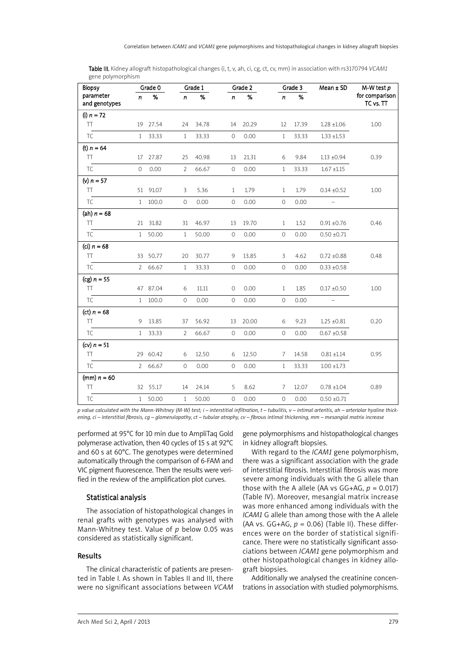| <b>Biopsy</b>              |              | Grade 0  |                | Grade 1 |                     | Grade 2 |              | Grade 3 | $Mean \pm SD$            | $M-W$ test $p$              |
|----------------------------|--------------|----------|----------------|---------|---------------------|---------|--------------|---------|--------------------------|-----------------------------|
| parameter<br>and genotypes | $\mathbf n$  | %        | n              | %       | n                   | %       | n            | %       |                          | for comparison<br>TC vs. TT |
| (i) $n = 72$               |              |          |                |         |                     |         |              |         |                          |                             |
| <b>TT</b>                  |              | 19 27.54 | 24             | 34.78   | 14                  | 20.29   | 12           | 17.39   | $1.28 \pm 1.06$          | 1.00                        |
| TC                         | $\mathbf{1}$ | 33.33    | $\mathbf{1}$   | 33.33   | $\mathsf{O}\xspace$ | 0.00    | $\mathbf{1}$ | 33.33   | $1.33 \pm 1.53$          |                             |
| (t) $n = 64$               |              |          |                |         |                     |         |              |         |                          |                             |
| <b>TT</b>                  |              | 17 27.87 | 25             | 40.98   | 13                  | 21.31   | 6            | 9.84    | $1.13 \pm 0.94$          | 0.39                        |
| TC                         | $\circ$      | 0.00     | $\overline{2}$ | 66.67   | $\mathsf{O}\xspace$ | 0.00    | $\mathbf{1}$ | 33.33   | $1.67 \pm 1.15$          |                             |
| (v) $n = 57$               |              |          |                |         |                     |         |              |         |                          |                             |
| <b>TT</b>                  |              | 51 91.07 | 3              | 5.36    | $\mathbf{1}$        | 1.79    | $\mathbf{1}$ | 1.79    | $0.14 \pm 0.52$          | 1.00                        |
| TC                         | $\mathbf{1}$ | 100.0    | $\mathcal{O}$  | 0.00    | $\mathbf 0$         | 0.00    | $\circ$      | 0.00    | $\overline{\phantom{0}}$ |                             |
| (ah) $n = 68$              |              |          |                |         |                     |         |              |         |                          |                             |
| <b>TT</b>                  | 21           | 31.82    | 31             | 46.97   | 13                  | 19.70   | $\mathbf{1}$ | 1.52    | $0.91 \pm 0.76$          | 0.46                        |
| TC                         | 1            | 50.00    | $\mathbf{1}$   | 50.00   | $\mathsf{O}\xspace$ | 0.00    | $\circ$      | 0.00    | $0.50 \pm 0.71$          |                             |
| (ci) <i>n</i> = 68         |              |          |                |         |                     |         |              |         |                          |                             |
| <b>TT</b>                  |              | 33 50.77 | 20             | 30.77   | 9                   | 13.85   | 3            | 4.62    | $0.72 \pm 0.88$          | 0.48                        |
| <b>TC</b>                  | $2^{\circ}$  | 66.67    | 1              | 33.33   | $\circ$             | 0.00    | $\circ$      | 0.00    | $0.33 \pm 0.58$          |                             |
| $(cg) n = 55$              |              |          |                |         |                     |         |              |         |                          |                             |
| <b>TT</b>                  |              | 47 87.04 | 6              | 11.11   | $\circ$             | 0.00    | $\mathbf{1}$ | 1.85    | $0.17 \pm 0.50$          | 1.00                        |
| <b>TC</b>                  | $\mathbf{1}$ | 100.0    | $\mathcal{O}$  | 0.00    | $\circ$             | 0.00    | $\circ$      | 0.00    | $\equiv$                 |                             |
| (ct) $n = 68$              |              |          |                |         |                     |         |              |         |                          |                             |
| <b>TT</b>                  | 9            | 13.85    | 37             | 56.92   | 13                  | 20.00   | 6            | 9.23    | $1.25 \pm 0.81$          | 0.20                        |
| <b>TC</b>                  | $\mathbf{1}$ | 33.33    | $\overline{2}$ | 66.67   | $\mathsf O$         | 0.00    | $\circ$      | 0.00    | $0.67 \pm 0.58$          |                             |
| (cv) $n = 51$              |              |          |                |         |                     |         |              |         |                          |                             |
| <b>TT</b>                  |              | 29 60.42 | 6              | 12.50   | 6                   | 12.50   | 7            | 14.58   | $0.81 \pm 1.14$          | 0.95                        |
| <b>TC</b>                  | $\mathbf{2}$ | 66.67    | 0              | 0.00    | $\circ$             | 0.00    | $\mathbf{1}$ | 33.33   | $1.00 \pm 1.73$          |                             |
| (mm) $n = 60$              |              |          |                |         |                     |         |              |         |                          |                             |
| TT                         |              | 32 55.17 | 14             | 24.14   | 5                   | 8.62    | 7            | 12.07   | $0.78 \pm 1.04$          | 0.89                        |
| TC                         | $\mathbf{1}$ | 50.00    | $\mathbf{1}$   | 50.00   | 0                   | 0.00    | 0            | 0.00    | $0.50 \pm 0.71$          |                             |

Table III. Kidney allograft histopathological changes (i, t, v, ah, ci, cg, ct, cv, mm) in association with rs3170794 *VCAM1* gene polymorphism

p value calculated with the Mann-Whitney (M-W) test;  $i$  - interstitial infiltration,  $t$  - tubulitis,  $v$  - intimal arteritis, ah - arteriolar hyaline thickening, ci - interstitial fibrosis, cg - glomerulopathy, ct - tubular atrophy, cv - fibrous intimal thickening, mm - mesangial matrix increase

performed at 95°C for 10 min due to AmpliTaq Gold polymerase activation, then 40 cycles of 15 s at 92°C and 60 s at 60°C. The genotypes were determined automatically through the comparison of 6-FAM and VIC pigment fluorescence. Then the results were verified in the review of the amplification plot curves.

# Statistical analysis

The association of histopathological changes in renal grafts with genotypes was analysed with Mann-Whitney test. Value of *p* below 0.05 was considered as statistically significant.

## Results

The clinical characteristic of patients are presented in Table I. As shown in Tables II and III, there were no significant associations between *VCAM* gene polymorphisms and histopathological changes in kidney allograft biopsies.

With regard to the *ICAM1* gene polymorphism, there was a significant association with the grade of interstitial fibrosis. Interstitial fibrosis was more severe among individuals with the G allele than those with the A allele (AA vs  $GG+AG$ ,  $p = 0.017$ ) (Table IV). Moreover, mesangial matrix increase was more enhanced among individuals with the *ICAM1* G allele than among those with the A allele (AA vs.  $GG+AG$ ,  $p = 0.06$ ) (Table II). These differences were on the border of statistical significance. There were no statistically significant associations between *ICAM1* gene polymorphism and other histopathological changes in kidney allograft biopsies.

Additionally we analysed the creatinine concentrations in association with studied polymorphisms.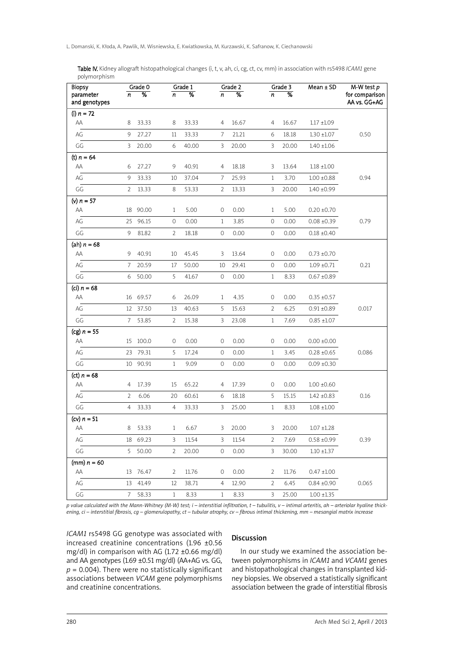Table IV. Kidney allograft histopathological changes (i, t, v, ah, ci, cg, ct, cv, mm) in association with rs5498 *ICAM1* gene polymorphism

| <b>Biopsy</b>              |                | Grade 0  |                | Grade 1                  |                     | Grade 2       |                     | Grade 3         | $Mean \pm SD$   | $M-W$ test $p$                 |
|----------------------------|----------------|----------|----------------|--------------------------|---------------------|---------------|---------------------|-----------------|-----------------|--------------------------------|
| parameter<br>and genotypes | n              | %        | n              | $\overline{\mathcal{C}}$ | n                   | $\frac{9}{6}$ | n                   | $\overline{\%}$ |                 | for comparison<br>AA vs. GG+AG |
| (i) $n = 72$               |                |          |                |                          |                     |               |                     |                 |                 |                                |
| AA                         | 8              | 33.33    | 8              | 33.33                    | 4                   | 16.67         | 4                   | 16.67           | $1.17 \pm 1.09$ |                                |
| AG                         | 9              | 27.27    | 11             | 33.33                    | 7                   | 21.21         | 6                   | 18.18           | $1.30 \pm 1.07$ | 0.50                           |
| GG                         | 3              | 20.00    | 6              | 40.00                    | 3                   | 20.00         | 3                   | 20.00           | $1.40 \pm 1.06$ |                                |
| (t) $n = 64$               |                |          |                |                          |                     |               |                     |                 |                 |                                |
| AA                         | 6              | 27.27    | 9              | 40.91                    | 4                   | 18.18         | 3                   | 13.64           | $1.18 \pm 1.00$ |                                |
| AG                         | 9              | 33.33    | 10             | 37.04                    | 7                   | 25.93         | $\mathbf{1}$        | 3.70            | $1.00 \pm 0.88$ | 0.94                           |
| GG                         | $\overline{2}$ | 13.33    | 8              | 53.33                    | 2                   | 13.33         | 3                   | 20.00           | $1.40 \pm 0.99$ |                                |
| (v) $n = 57$               |                |          |                |                          |                     |               |                     |                 |                 |                                |
| AA                         | 18             | 90.00    | $\mathbf{1}$   | 5.00                     | 0                   | 0.00          | 1                   | 5.00            | $0.20 \pm 0.70$ |                                |
| AG                         | 25             | 96.15    | 0              | 0.00                     | $\mathbf{1}$        | 3.85          | 0                   | 0.00            | $0.08 \pm 0.39$ | 0.79                           |
| GG                         | 9              | 81.82    | $\overline{2}$ | 18.18                    | 0                   | 0.00          | 0                   | 0.00            | $0.18 \pm 0.40$ |                                |
| (ah) $n = 68$              |                |          |                |                          |                     |               |                     |                 |                 |                                |
| AA                         | 9              | 40.91    | 10             | 45.45                    | 3                   | 13.64         | 0                   | 0.00            | $0.73 \pm 0.70$ |                                |
| AG                         | 7              | 20.59    | 17             | 50.00                    | 10                  | 29.41         | 0                   | 0.00            | $1.09 \pm 0.71$ | 0.21                           |
| GG                         | 6              | 50.00    | 5              | 41.67                    | $\mathbf 0$         | 0.00          | 1                   | 8.33            | $0.67 \pm 0.89$ |                                |
| (ci) $n = 68$              |                |          |                |                          |                     |               |                     |                 |                 |                                |
| AA                         | 16             | 69.57    | 6              | 26.09                    | 1                   | 4.35          | 0                   | 0.00            | $0.35 \pm 0.57$ |                                |
| AG                         | 12             | 37.50    | 13             | 40.63                    | 5                   | 15.63         | $\overline{2}$      | 6.25            | $0.91 \pm 0.89$ | 0.017                          |
| GG                         | 7              | 53.85    | $\overline{2}$ | 15.38                    | 3                   | 23.08         | 1                   | 7.69            | $0.85 \pm 1.07$ |                                |
| (cg) $n = 55$              |                |          |                |                          |                     |               |                     |                 |                 |                                |
| AA                         | 15             | 100.0    | 0              | 0.00                     | 0                   | 0.00          | 0                   | 0.00            | $0.00 \pm 0.00$ |                                |
| $\mathsf{AG}$              | 23             | 79.31    | 5              | 17.24                    | $\mathsf{O}\xspace$ | 0.00          | $\mathbf{1}$        | 3.45            | $0.28 \pm 0.65$ | 0.086                          |
| GG                         |                | 10 90.91 | $\mathbf{1}$   | 9.09                     | $\circ$             | 0.00          | $\mathsf{O}\xspace$ | 0.00            | $0.09 \pm 0.30$ |                                |
| (ct) $n = 68$              |                |          |                |                          |                     |               |                     |                 |                 |                                |
| AA                         | 4              | 17.39    | 15             | 65.22                    | 4                   | 17.39         | 0                   | 0.00            | $1.00 \pm 0.60$ |                                |
| AG                         | 2              | 6.06     | 20             | 60.61                    | 6                   | 18.18         | 5                   | 15.15           | $1.42 \pm 0.83$ | 0.16                           |
| GG                         | 4              | 33.33    | 4              | 33.33                    | 3                   | 25.00         | $\mathbf{1}$        | 8.33            | $1.08 \pm 1.00$ |                                |
| (cv) $n = 51$              |                |          |                |                          |                     |               |                     |                 |                 |                                |
| AA                         | 8              | 53.33    | $\mathbf{1}$   | 6.67                     | 3                   | 20.00         | 3                   | 20.00           | $1.07 \pm 1.28$ |                                |
| AG                         |                | 18 69.23 | 3              | 11.54                    | 3                   | 11.54         | 2                   | 7.69            | $0.58 \pm 0.99$ | 0.39                           |
| GG                         |                | 5 50.00  | 2              | 20.00                    | 0                   | 0.00          | 3                   | 30.00           | $1.10 \pm 1.37$ |                                |
| (mm) $n = 60$              |                |          |                |                          |                     |               |                     |                 |                 |                                |
| AA                         |                | 13 76.47 | 2              | 11.76                    | 0                   | 0.00          | 2                   | 11.76           | $0.47 \pm 1.00$ |                                |
| AG                         |                | 13 41.49 | 12             | 38.71                    | 4                   | 12.90         | $\overline{2}$      | 6.45            | $0.84 \pm 0.90$ | 0.065                          |
| GG                         | 7 <sup>7</sup> | 58.33    | $\mathbf{1}$   | 8.33                     | $\mathbf{1}$        | 8.33          | 3                   | 25.00           | $1.00 \pm 1.35$ |                                |

p value calculated with the Mann-Whitney (M-W) test; i — interstitial infiltration, t — tubulitis, v — intimal arteritis, ah — arteriolar hyaline thickening, ci – interstitial fibrosis, cg – glomerulopathy, ct – tubular atrophy, cv – fibrous intimal thickening, mm – mesangial matrix increase

*ICAM1* rs5498 GG genotype was associated with increased creatinine concentrations (1.96 ±0.56 mg/dl) in comparison with AG (1.72 ±0.66 mg/dl) and AA genotypes (1.69 ±0.51 mg/dl) (AA+AG vs. GG,  $p = 0.004$ ). There were no statistically significant associations between *VCAM* gene polymorphisms and creatinine concentrations.

## Discussion

In our study we examined the association between polymorphisms in *ICAM1* and *VCAM1* genes and histopathological changes in transplanted kidney biopsies. We observed a statistically significant association between the grade of interstitial fibrosis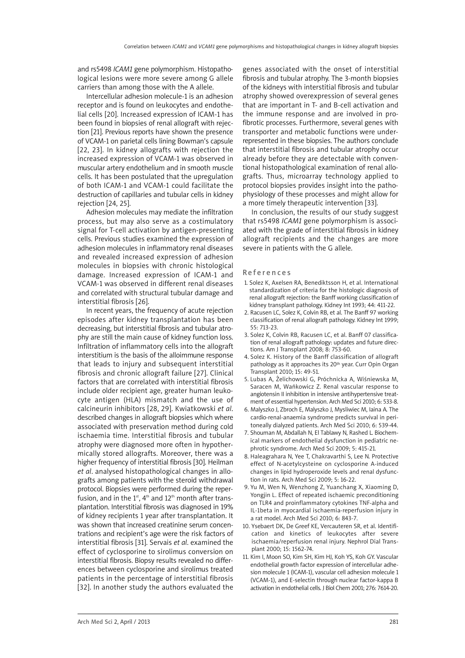and rs5498 *ICAM1* gene polymorphism. Histopathological lesions were more severe among G allele carriers than among those with the A allele.

Intercellular adhesion molecule-1 is an adhesion receptor and is found on leukocytes and endothelial cells [20]. Increased expression of ICAM-1 has been found in biopsies of renal allograft with rejection [21]. Previous reports have shown the presence of VCAM-1 on parietal cells lining Bowman's capsule [22, 23]. In kidney allografts with rejection the increased expression of VCAM-1 was observed in muscular artery endothelium and in smooth muscle cells. It has been postulated that the upregulation of both ICAM-1 and VCAM-1 could facilitate the destruction of capillaries and tubular cells in kidney rejection [24, 25].

Adhesion molecules may mediate the infiltration process, but may also serve as a costimulatory signal for T-cell activation by antigen-presenting cells. Previous studies examined the expression of adhesion molecules in inflammatory renal diseases and revealed increased expression of adhesion molecules in biopsies with chronic histological damage. Increased expression of ICAM-1 and VCAM-1 was observed in different renal diseases and correlated with structural tubular damage and interstitial fibrosis [26].

In recent years, the frequency of acute rejection episodes after kidney transplantation has been decreasing, but interstitial fibrosis and tubular atrophy are still the main cause of kidney function loss. Infiltration of inflammatory cells into the allograft interstitium is the basis of the alloimmune response that leads to injury and subsequent interstitial fibrosis and chronic allograft failure [27]. Clinical factors that are correlated with interstitial fibrosis include older recipient age, greater human leukocyte antigen (HLA) mismatch and the use of calcineurin inhibitors [28, 29]. Kwiatkowski *et al*. described changes in allograft biopsies which where associated with preservation method during cold ischaemia time. Interstitial fibrosis and tubular atrophy were diagnosed more often in hypothermically stored allografts. Moreover, there was a higher frequency of interstitial fibrosis [30]. Heilman *et al*. analysed histopathological changes in allografts among patients with the steroid withdrawal protocol. Biopsies were performed during the reperfusion, and in the 1st, 4th and 12th month after transplantation. Interstitial fibrosis was diagnosed in 19% of kidney recipients 1 year after transplantation. It was shown that increased creatinine serum concentrations and recipient's age were the risk factors of interstitial fibrosis [31]. Servais *et al*. examined the effect of cyclosporine to sirolimus conversion on interstitial fibrosis. Biopsy results revealed no differences between cyclosporine and sirolimus treated patients in the percentage of interstitial fibrosis [32]. In another study the authors evaluated the

genes associated with the onset of interstitial fibrosis and tubular atrophy. The 3-month biopsies of the kidneys with interstitial fibrosis and tubular atrophy showed overexpression of several genes that are important in T- and B-cell activation and the immune response and are involved in profibrotic processes. Furthermore, several genes with transporter and metabolic functions were underrepresented in these biopsies. The authors conclude that interstitial fibrosis and tubular atrophy occur already before they are detectable with conventional histopathological examination of renal allografts. Thus, microarray technology applied to protocol biopsies provides insight into the pathophysiology of these processes and might allow for a more timely therapeutic intervention [33].

In conclusion, the results of our study suggest that rs5498 *ICAM1* gene polymorphism is associated with the grade of interstitial fibrosis in kidney allograft recipients and the changes are more severe in patients with the G allele.

#### Re f e r e n c e s

- 1. Solez K, Axelsen RA, Benediktsson H, et al. International standardization of criteria for the histologic diagnosis of renal allograft rejection: the Banff working classification of kidney transplant pathology. Kidney Int 1993; 44: 411-22.
- 2. Racusen LC, Solez K, Colvin RB, et al. The Banff 97 working classification of renal allograft pathology. Kidney Int 1999; 55: 713-23.
- 3. Solez K, Colvin RB, Racusen LC, et al. Banff 07 classification of renal allograft pathology: updates and future directions. Am J Transplant 2008; 8: 753-60.
- 4. Solez K. History of the Banff classification of allograft pathology as it approaches its 20th year. Curr Opin Organ Transplant 2010; 15: 49-51.
- 5. Lubas A, Żelichowski G, Próchnicka A, Wiśniewska M, Saracen M, Wańkowicz Z. Renal vascular response to angiotensin II inhibition in intensive antihypertensive treatment of essential hypertension. Arch Med Sci 2010; 6: 533-8.
- 6. Malyszko J, Zbroch E, Malyszko J, Mysliwiec M, Iaina A. The cardio-renal-anaemia syndrome predicts survival in peritoneally dialyzed patients. Arch Med Sci 2010; 6: 539-44.
- 7. Shouman M, Abdallah N, El Tablawy N, Rashed L. Biochemical markers of endothelial dysfunction in pediatric nephrotic syndrome. Arch Med Sci 2009; 5: 415-21.
- 8. Haleagrahara N, Yee T, Chakravarthi S, Lee N. Protective effect of N-acetylcysteine on cyclosporine A-induced changes in lipid hydroperoxide levels and renal dysfunction in rats. Arch Med Sci 2009; 5: 16-22.
- 9. Yu M, Wen N, Wenzhong Z, Yuanchang X, Xiaoming D, Yongjin L. Effect of repeated ischaemic preconditioning on TLR4 and proinflammatory cytokines TNF-alpha and IL-1beta in myocardial ischaemia-reperfusion injury in a rat model. Arch Med Sci 2010; 6: 843-7.
- 10. Ysebaert DK, De Greef KE, Vercauteren SR, et al. Identification and kinetics of leukocytes after severe ischaemia/reperfusion renal injury. Nephrol Dial Transplant 2000; 15: 1562-74.
- 11. Kim I, Moon SO, Kim SH, Kim HJ, Koh YS, Koh GY. Vascular endothelial growth factor expression of intercellular adhesion molecule 1 (ICAM-1), vascular cell adhesion molecule 1 (VCAM-1), and E-selectin through nuclear factor-kappa B activation in endothelial cells. J Biol Chem 2001; 276: 7614-20.